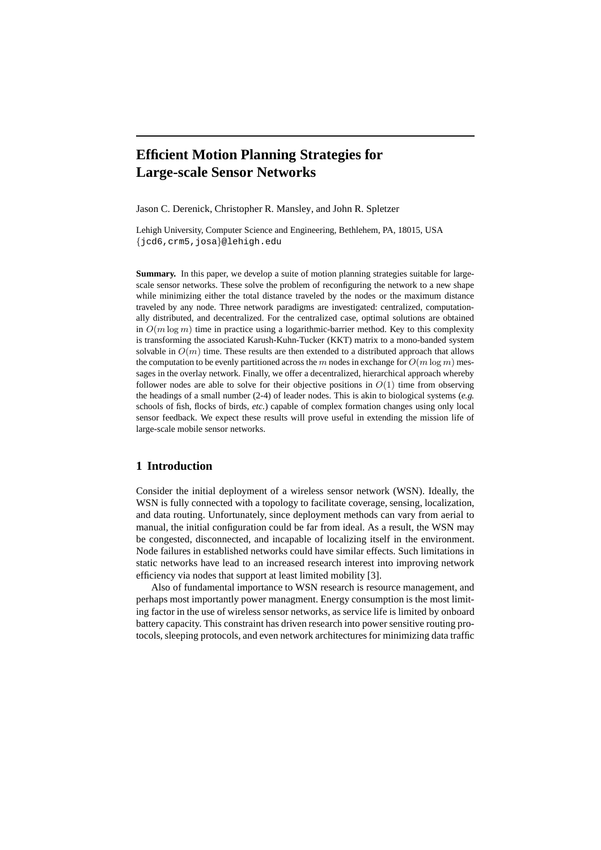# **Efficient Motion Planning Strategies for Large-scale Sensor Networks**

Jason C. Derenick, Christopher R. Mansley, and John R. Spletzer

Lehigh University, Computer Science and Engineering, Bethlehem, PA, 18015, USA {jcd6,crm5,josa}@lehigh.edu

**Summary.** In this paper, we develop a suite of motion planning strategies suitable for largescale sensor networks. These solve the problem of reconfiguring the network to a new shape while minimizing either the total distance traveled by the nodes or the maximum distance traveled by any node. Three network paradigms are investigated: centralized, computationally distributed, and decentralized. For the centralized case, optimal solutions are obtained in  $O(m \log m)$  time in practice using a logarithmic-barrier method. Key to this complexity is transforming the associated Karush-Kuhn-Tucker (KKT) matrix to a mono-banded system solvable in  $O(m)$  time. These results are then extended to a distributed approach that allows the computation to be evenly partitioned across the m nodes in exchange for  $O(m \log m)$  messages in the overlay network. Finally, we offer a decentralized, hierarchical approach whereby follower nodes are able to solve for their objective positions in  $O(1)$  time from observing the headings of a small number (2-4) of leader nodes. This is akin to biological systems (*e.g.* schools of fish, flocks of birds, *etc.*) capable of complex formation changes using only local sensor feedback. We expect these results will prove useful in extending the mission life of large-scale mobile sensor networks.

# **1 Introduction**

Consider the initial deployment of a wireless sensor network (WSN). Ideally, the WSN is fully connected with a topology to facilitate coverage, sensing, localization, and data routing. Unfortunately, since deployment methods can vary from aerial to manual, the initial configuration could be far from ideal. As a result, the WSN may be congested, disconnected, and incapable of localizing itself in the environment. Node failures in established networks could have similar effects. Such limitations in static networks have lead to an increased research interest into improving network efficiency via nodes that support at least limited mobility [3].

Also of fundamental importance to WSN research is resource management, and perhaps most importantly power managment. Energy consumption is the most limiting factor in the use of wireless sensor networks, as service life is limited by onboard battery capacity. This constraint has driven research into power sensitive routing protocols, sleeping protocols, and even network architectures for minimizing data traffic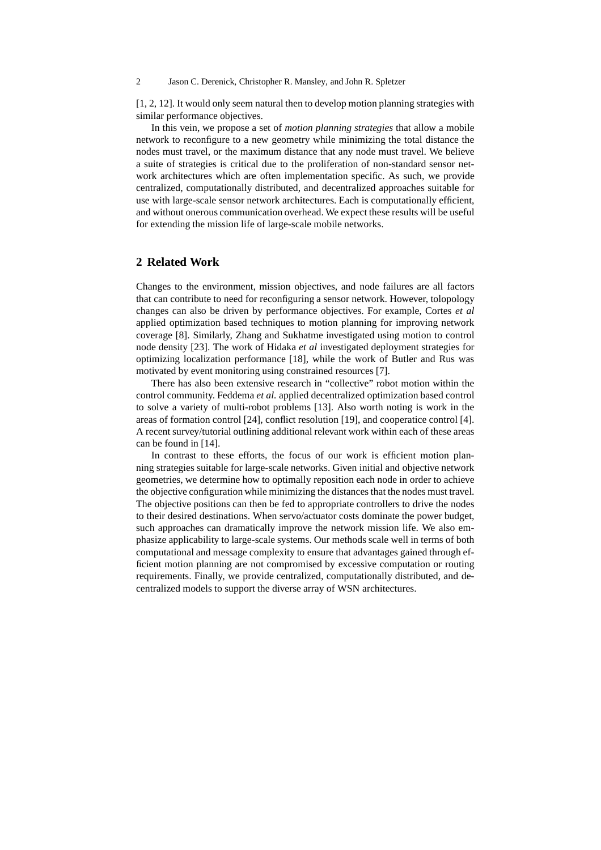[1, 2, 12]. It would only seem natural then to develop motion planning strategies with similar performance objectives.

In this vein, we propose a set of *motion planning strategies* that allow a mobile network to reconfigure to a new geometry while minimizing the total distance the nodes must travel, or the maximum distance that any node must travel. We believe a suite of strategies is critical due to the proliferation of non-standard sensor network architectures which are often implementation specific. As such, we provide centralized, computationally distributed, and decentralized approaches suitable for use with large-scale sensor network architectures. Each is computationally efficient, and without onerous communication overhead. We expect these results will be useful for extending the mission life of large-scale mobile networks.

# **2 Related Work**

Changes to the environment, mission objectives, and node failures are all factors that can contribute to need for reconfiguring a sensor network. However, tolopology changes can also be driven by performance objectives. For example, Cortes *et al* applied optimization based techniques to motion planning for improving network coverage [8]. Similarly, Zhang and Sukhatme investigated using motion to control node density [23]. The work of Hidaka *et al* investigated deployment strategies for optimizing localization performance [18], while the work of Butler and Rus was motivated by event monitoring using constrained resources [7].

There has also been extensive research in "collective" robot motion within the control community. Feddema *et al.* applied decentralized optimization based control to solve a variety of multi-robot problems [13]. Also worth noting is work in the areas of formation control [24], conflict resolution [19], and cooperatice control [4]. A recent survey/tutorial outlining additional relevant work within each of these areas can be found in [14].

In contrast to these efforts, the focus of our work is efficient motion planning strategies suitable for large-scale networks. Given initial and objective network geometries, we determine how to optimally reposition each node in order to achieve the objective configuration while minimizing the distances that the nodes must travel. The objective positions can then be fed to appropriate controllers to drive the nodes to their desired destinations. When servo/actuator costs dominate the power budget, such approaches can dramatically improve the network mission life. We also emphasize applicability to large-scale systems. Our methods scale well in terms of both computational and message complexity to ensure that advantages gained through efficient motion planning are not compromised by excessive computation or routing requirements. Finally, we provide centralized, computationally distributed, and decentralized models to support the diverse array of WSN architectures.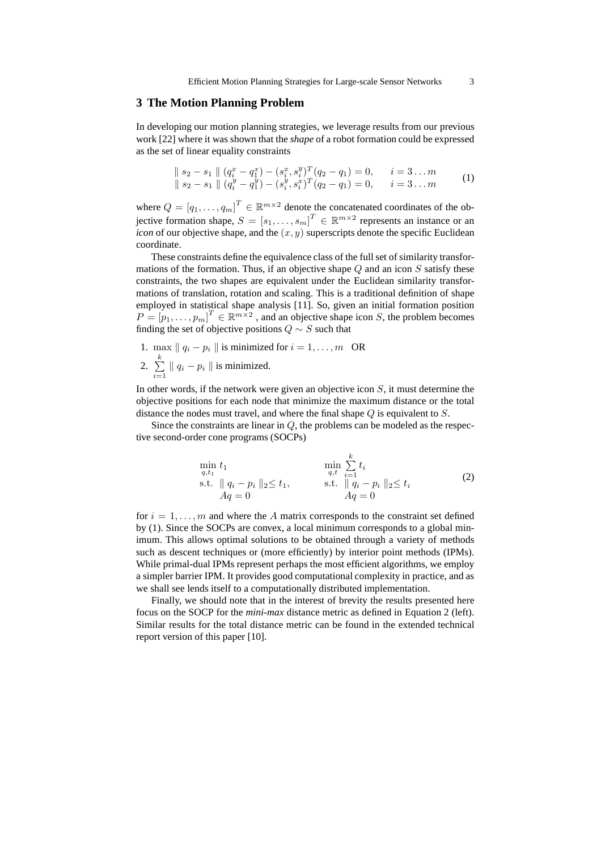# **3 The Motion Planning Problem**

In developing our motion planning strategies, we leverage results from our previous work [22] where it was shown that the *shape* of a robot formation could be expressed as the set of linear equality constraints

$$
\| s_2 - s_1 \| (q_i^x - q_1^x) - (s_i^x, s_i^y)^T (q_2 - q_1) = 0, \quad i = 3...m
$$
  

$$
\| s_2 - s_1 \| (q_i^y - q_1^y) - (s_i^y, s_i^x)^T (q_2 - q_1) = 0, \quad i = 3...m
$$
 (1)

where  $Q = [q_1, \ldots, q_m]^T \in \mathbb{R}^{m \times 2}$  denote the concatenated coordinates of the objective formation shape,  $S = [s_1, \ldots, s_m]^T \in \mathbb{R}^{m \times 2}$  represents an instance or an *icon* of our objective shape, and the  $(x, y)$  superscripts denote the specific Euclidean coordinate.

These constraints define the equivalence class of the full set of similarity transformations of the formation. Thus, if an objective shape  $Q$  and an icon  $S$  satisfy these constraints, the two shapes are equivalent under the Euclidean similarity transformations of translation, rotation and scaling. This is a traditional definition of shape employed in statistical shape analysis [11]. So, given an initial formation position  $P = [p_1, \ldots, p_m]^T \in \mathbb{R}^{m \times 2}$ , and an objective shape icon S, the problem becomes finding the set of objective positions  $Q \sim S$  such that

\n- 1. 
$$
\max \|q_i - p_i\|
$$
 is minimized for  $i = 1, \ldots, m$  OR
\n- 2.  $\sum_{i=1}^{k} \|q_i - p_i\|$  is minimized.
\n

In other words, if the network were given an objective icon  $S$ , it must determine the objective positions for each node that minimize the maximum distance or the total distance the nodes must travel, and where the final shape  $Q$  is equivalent to  $S$ .

Since the constraints are linear in  $Q$ , the problems can be modeled as the respective second-order cone programs (SOCPs)

$$
\min_{q,t_1} t_1 \qquad \min_{q,t} \sum_{i=1}^k t_i
$$
\n
$$
\text{s.t. } \|q_i - p_i\|_2 \le t_1, \qquad \text{s.t. } \|q_i - p_i\|_2 \le t_i
$$
\n
$$
Aq = 0 \qquad (2)
$$

for  $i = 1, \ldots, m$  and where the A matrix corresponds to the constraint set defined by (1). Since the SOCPs are convex, a local minimum corresponds to a global minimum. This allows optimal solutions to be obtained through a variety of methods such as descent techniques or (more efficiently) by interior point methods (IPMs). While primal-dual IPMs represent perhaps the most efficient algorithms, we employ a simpler barrier IPM. It provides good computational complexity in practice, and as we shall see lends itself to a computationally distributed implementation.

Finally, we should note that in the interest of brevity the results presented here focus on the SOCP for the *mini-max* distance metric as defined in Equation 2 (left). Similar results for the total distance metric can be found in the extended technical report version of this paper [10].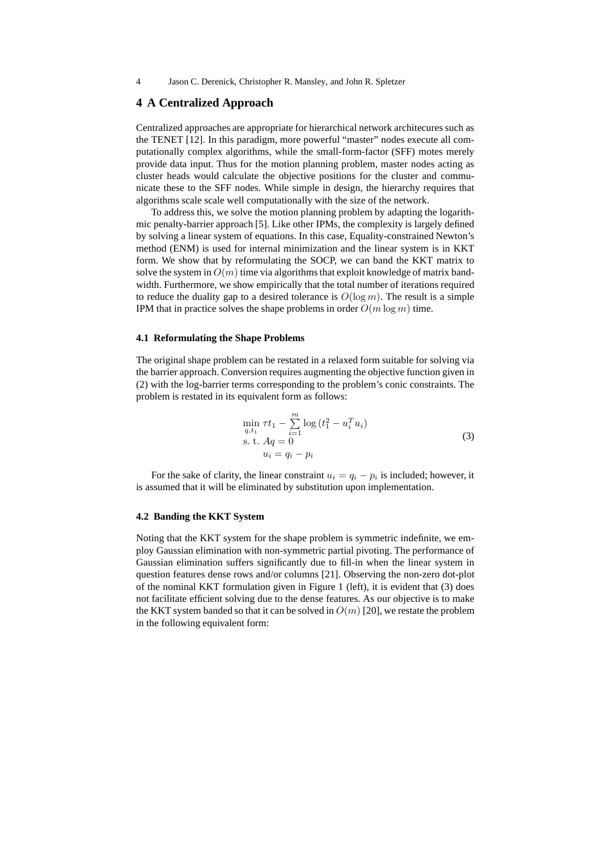## **4 A Centralized Approach**

Centralized approaches are appropriate for hierarchical network architecures such as the TENET [12]. In this paradigm, more powerful "master" nodes execute all computationally complex algorithms, while the small-form-factor (SFF) motes merely provide data input. Thus for the motion planning problem, master nodes acting as cluster heads would calculate the objective positions for the cluster and communicate these to the SFF nodes. While simple in design, the hierarchy requires that algorithms scale scale well computationally with the size of the network.

To address this, we solve the motion planning problem by adapting the logarithmic penalty-barrier approach [5]. Like other IPMs, the complexity is largely defined by solving a linear system of equations. In this case, Equality-constrained Newton's method (ENM) is used for internal minimization and the linear system is in KKT form. We show that by reformulating the SOCP, we can band the KKT matrix to solve the system in  $O(m)$  time via algorithms that exploit knowledge of matrix bandwidth. Furthermore, we show empirically that the total number of iterations required to reduce the duality gap to a desired tolerance is  $O(\log m)$ . The result is a simple IPM that in practice solves the shape problems in order  $O(m \log m)$  time.

### **4.1 Reformulating the Shape Problems**

The original shape problem can be restated in a relaxed form suitable for solving via the barrier approach. Conversion requires augmenting the objective function given in (2) with the log-barrier terms corresponding to the problem's conic constraints. The problem is restated in its equivalent form as follows:

$$
\min_{q,t_1} \tau t_1 - \sum_{i=1}^{m} \log (t_1^2 - u_i^T u_i)
$$
\n
$$
\text{s. t. } Aq = 0
$$
\n
$$
u_i = q_i - p_i
$$
\n(3)

For the sake of clarity, the linear constraint  $u_i = q_i - p_i$  is included; however, it is assumed that it will be eliminated by substitution upon implementation.

# **4.2 Banding the KKT System**

Noting that the KKT system for the shape problem is symmetric indefinite, we employ Gaussian elimination with non-symmetric partial pivoting. The performance of Gaussian elimination suffers significantly due to fill-in when the linear system in question features dense rows and/or columns [21]. Observing the non-zero dot-plot of the nominal KKT formulation given in Figure 1 (left), it is evident that (3) does not facilitate efficient solving due to the dense features. As our objective is to make the KKT system banded so that it can be solved in  $O(m)$  [20], we restate the problem in the following equivalent form: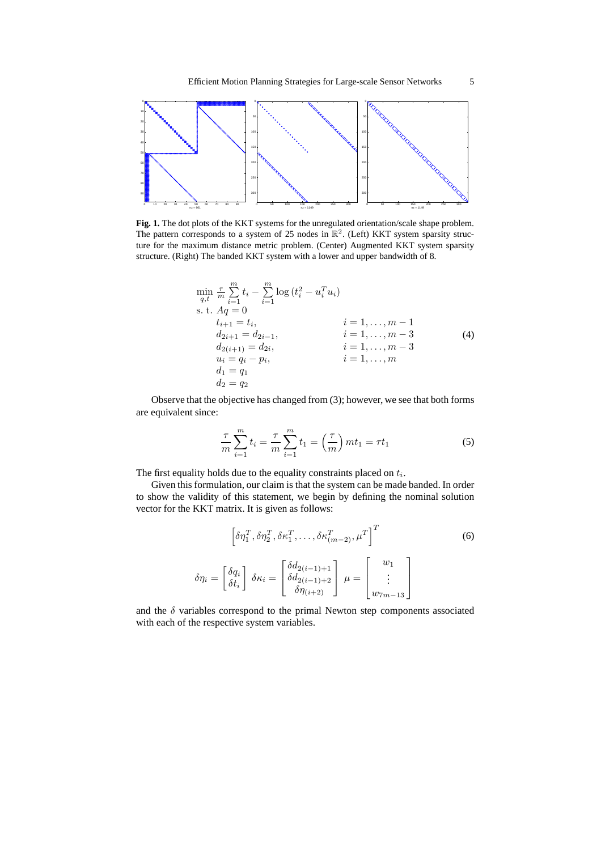

**Fig. 1.** The dot plots of the KKT systems for the unregulated orientation/scale shape problem. The pattern corresponds to a system of 25 nodes in  $\mathbb{R}^2$ . (Left) KKT system sparsity structure for the maximum distance metric problem. (Center) Augmented KKT system sparsity structure. (Right) The banded KKT system with a lower and upper bandwidth of 8.

$$
\min_{q,t} \frac{\tau}{m} \sum_{i=1}^{m} t_i - \sum_{i=1}^{m} \log (t_i^2 - u_i^T u_i)
$$
\ns. t.  $Aq = 0$   
\nt<sub>i+1</sub> = t<sub>i</sub>,   
\n $d_{2i+1} = d_{2i-1}$ ,   
\ni = 1,..., m - 1  
\n $d_{2i+1} = d_{2i-1}$ ,   
\ni = 1,..., m - 3  
\n $d_2(i+1) = d_{2i}$ ,   
\ni = 1,..., m - 3  
\ni = 1,..., m - 3  
\ni = 1,..., m - 3  
\ni = 1,..., m - 3  
\ni = 1,..., m  
\nd<sub>1</sub> = q<sub>1</sub>  
\nd<sub>2</sub> = q<sub>2</sub>

Observe that the objective has changed from (3); however, we see that both forms are equivalent since:

$$
\frac{\tau}{m} \sum_{i=1}^{m} t_i = \frac{\tau}{m} \sum_{i=1}^{m} t_i = \left(\frac{\tau}{m}\right) m t_1 = \tau t_1
$$
\n(5)

The first equality holds due to the equality constraints placed on  $t_i$ .

Given this formulation, our claim is that the system can be made banded. In order to show the validity of this statement, we begin by defining the nominal solution vector for the KKT matrix. It is given as follows:

$$
\left[\delta\eta_1^T, \delta\eta_2^T, \delta\kappa_1^T, \dots, \delta\kappa_{(m-2)}^T, \mu^T\right]^T
$$
\n
$$
\delta\eta_i = \begin{bmatrix} \delta q_i \\ \delta t_i \end{bmatrix} \delta\kappa_i = \begin{bmatrix} \delta d_{2(i-1)+1} \\ \delta d_{2(i-1)+2} \\ \delta\eta_{(i+2)} \end{bmatrix} \mu = \begin{bmatrix} w_1 \\ \vdots \\ w_{7m-13} \end{bmatrix}
$$
\n(6)

and the  $\delta$  variables correspond to the primal Newton step components associated with each of the respective system variables.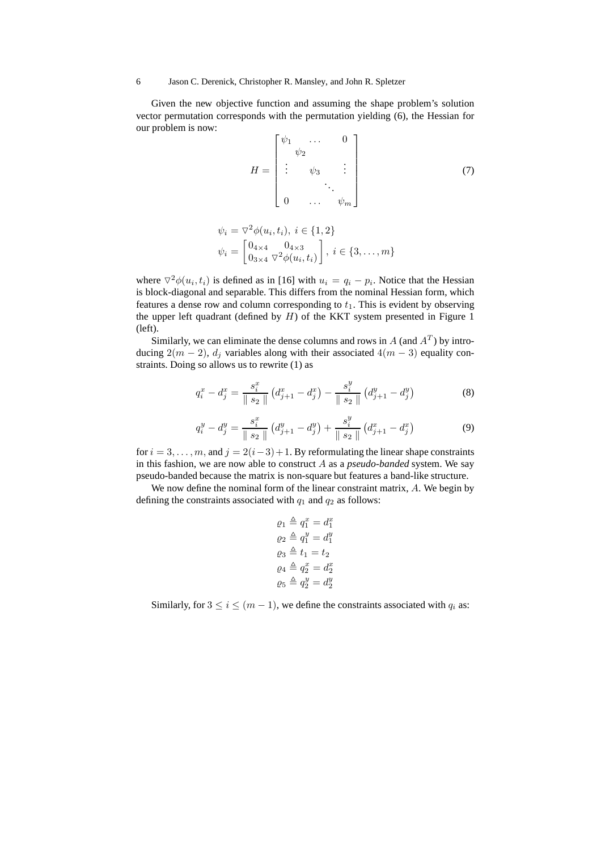Given the new objective function and assuming the shape problem's solution vector permutation corresponds with the permutation yielding (6), the Hessian for our problem is now:

$$
H = \begin{bmatrix} \psi_1 & \dots & 0 \\ \psi_2 & & & \\ \vdots & \psi_3 & \vdots \\ 0 & \dots & \psi_m \end{bmatrix}
$$
(7)  

$$
\psi_i = \nabla^2 \phi(u_i, t_i), \ i \in \{1, 2\}
$$
  

$$
\psi_i = \begin{bmatrix} 0_{4 \times 4} & 0_{4 \times 3} \\ 0 & \nabla^2 \phi(u_i, t_i) \end{bmatrix}, \ i \in \{3, \dots, m\}
$$

where  $\nabla^2 \phi(u_i, t_i)$  is defined as in [16] with  $u_i = q_i - p_i$ . Notice that the Hessian is block-diagonal and separable. This differs from the nominal Hessian form, which features a dense row and column corresponding to  $t_1$ . This is evident by observing the upper left quadrant (defined by  $H$ ) of the KKT system presented in Figure 1 (left).

 $0_{3\times 4} \nabla^2 \phi(u_i,t_i)$ 

Similarly, we can eliminate the dense columns and rows in  $A$  (and  $A<sup>T</sup>$ ) by introducing  $2(m-2)$ ,  $d_i$  variables along with their associated  $4(m-3)$  equality constraints. Doing so allows us to rewrite (1) as

$$
q_i^x - d_j^x = \frac{s_i^x}{\|s_2\|} \left( d_{j+1}^x - d_j^x \right) - \frac{s_i^y}{\|s_2\|} \left( d_{j+1}^y - d_j^y \right) \tag{8}
$$

$$
q_i^y - d_j^y = \frac{s_i^x}{\|s_2\|} \left( d_{j+1}^y - d_j^y \right) + \frac{s_i^y}{\|s_2\|} \left( d_{j+1}^x - d_j^x \right) \tag{9}
$$

for  $i = 3, \ldots, m$ , and  $j = 2(i-3)+1$ . By reformulating the linear shape constraints in this fashion, we are now able to construct A as a *pseudo-banded* system. We say pseudo-banded because the matrix is non-square but features a band-like structure.

We now define the nominal form of the linear constraint matrix, A. We begin by defining the constraints associated with  $q_1$  and  $q_2$  as follows:

$$
Q_1 \triangleq q_1^x = d_1^x
$$

$$
Q_2 \triangleq q_1^y = d_1^y
$$

$$
Q_3 \triangleq t_1 = t_2
$$

$$
Q_4 \triangleq q_2^x = d_2^x
$$

$$
Q_5 \triangleq q_2^y = d_2^y
$$

Similarly, for  $3 \le i \le (m-1)$ , we define the constraints associated with  $q_i$  as: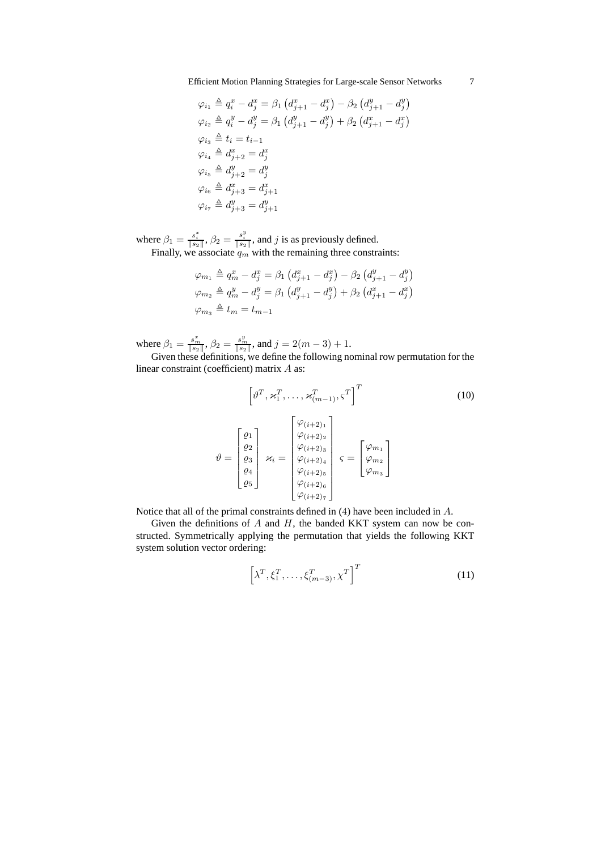$$
\varphi_{i_1} \triangleq q_i^x - d_j^x = \beta_1 (d_{j+1}^x - d_j^x) - \beta_2 (d_{j+1}^y - d_j^y)
$$
  
\n
$$
\varphi_{i_2} \triangleq q_i^y - d_j^y = \beta_1 (d_{j+1}^y - d_j^y) + \beta_2 (d_{j+1}^x - d_j^x)
$$
  
\n
$$
\varphi_{i_3} \triangleq t_i = t_{i-1}
$$
  
\n
$$
\varphi_{i_4} \triangleq d_{j+2}^x = d_j^x
$$
  
\n
$$
\varphi_{i_5} \triangleq d_{j+2}^y = d_j^y
$$
  
\n
$$
\varphi_{i_6} \triangleq d_{j+3}^x = d_{j+1}^x
$$
  
\n
$$
\varphi_{i_7} \triangleq d_{j+3}^y = d_{j+1}^y
$$

where  $\beta_1 = \frac{s_i^x}{\|s_2\|}, \beta_2 = \frac{s_i^y}{\|s_2\|}$ , and j is as previously defined. Finally, we associate  $q_m$  with the remaining three constraints:

 $\overline{\phantom{a}}$ 

$$
\varphi_{m_1} \triangleq q_m^x - d_j^x = \beta_1 \left( d_{j+1}^x - d_j^x \right) - \beta_2 \left( d_{j+1}^y - d_j^y \right)
$$
  

$$
\varphi_{m_2} \triangleq q_m^y - d_j^y = \beta_1 \left( d_{j+1}^y - d_j^y \right) + \beta_2 \left( d_{j+1}^x - d_j^x \right)
$$
  

$$
\varphi_{m_3} \triangleq t_m = t_{m-1}
$$

where  $\beta_1 = \frac{s_m^2}{\|s_2\|}, \beta_2 = \frac{s_m^y}{\|s_2\|}, \text{ and } j = 2(m-3) + 1.$ 

Given these definitions, we define the following nominal row permutation for the linear constraint (coefficient) matrix A as:

$$
\begin{bmatrix}\n\vartheta^T, \varkappa_1^T, \dots, \varkappa_{(m-1)}^T, \varsigma^T\n\end{bmatrix}^T
$$
\n(10)\n
$$
\vartheta = \begin{bmatrix}\n\varrho_1 \\
\varrho_2 \\
\varrho_3 \\
\varrho_4 \\
\varrho_5\n\end{bmatrix} \varkappa_i = \begin{bmatrix}\n\varphi_{(i+2)_1} \\
\varphi_{(i+2)_2} \\
\varphi_{(i+2)_4} \\
\varphi_{(i+2)_5} \\
\varphi_{(i+2)_6} \\
\varphi_{(i+2)_7}\n\end{bmatrix} \varepsilon = \begin{bmatrix}\n\varphi_{m_1} \\
\varphi_{m_2} \\
\varphi_{m_3}\n\end{bmatrix}
$$

Notice that all of the primal constraints defined in (4) have been included in A.

Given the definitions of  $A$  and  $H$ , the banded KKT system can now be constructed. Symmetrically applying the permutation that yields the following KKT system solution vector ordering:

$$
\left[\lambda^T, \xi_1^T, \dots, \xi_{(m-3)}^T, \chi^T\right]^T
$$
\n(11)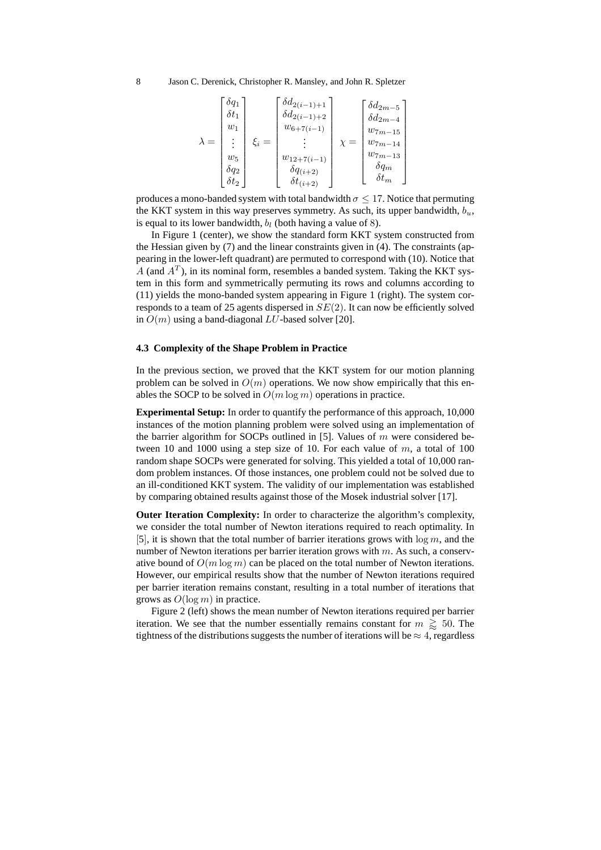| $\lambda =$ | $\delta q_1$<br>$\delta t_1$<br>$w_1$<br>$w_5$<br>$\delta q_2$ | $\xi_i =$ | $\int \delta d_{2(i-1)+1}$<br>$\delta d_{2(i-1)+2}$<br>$w_{6+7(i-1)}$<br>$w_{12+7(i-1)}$<br>$\delta q_{(i+2)}$ | $\delta d_{2m-5}$<br>$\delta d_{2m-4}$<br>$w_{7m-15}$<br>$w_{7m-14}$<br>$w_{7m-13}$<br>$\delta q_m$<br>$\delta t_m$ |  |
|-------------|----------------------------------------------------------------|-----------|----------------------------------------------------------------------------------------------------------------|---------------------------------------------------------------------------------------------------------------------|--|
|             | $\delta t_2$                                                   |           | $\delta t_{(i+2)}$                                                                                             |                                                                                                                     |  |

produces a mono-banded system with total bandwidth  $\sigma \leq 17$ . Notice that permuting the KKT system in this way preserves symmetry. As such, its upper bandwidth,  $b_u$ , is equal to its lower bandwidth,  $b_l$  (both having a value of 8).

In Figure 1 (center), we show the standard form KKT system constructed from the Hessian given by (7) and the linear constraints given in (4). The constraints (appearing in the lower-left quadrant) are permuted to correspond with (10). Notice that A (and  $A<sup>T</sup>$ ), in its nominal form, resembles a banded system. Taking the KKT system in this form and symmetrically permuting its rows and columns according to (11) yields the mono-banded system appearing in Figure 1 (right). The system corresponds to a team of 25 agents dispersed in  $SE(2)$ . It can now be efficiently solved in  $O(m)$  using a band-diagonal LU-based solver [20].

## **4.3 Complexity of the Shape Problem in Practice**

In the previous section, we proved that the KKT system for our motion planning problem can be solved in  $O(m)$  operations. We now show empirically that this enables the SOCP to be solved in  $O(m \log m)$  operations in practice.

**Experimental Setup:** In order to quantify the performance of this approach, 10,000 instances of the motion planning problem were solved using an implementation of the barrier algorithm for SOCPs outlined in [5]. Values of  $m$  were considered between 10 and 1000 using a step size of 10. For each value of  $m$ , a total of 100 random shape SOCPs were generated for solving. This yielded a total of 10,000 random problem instances. Of those instances, one problem could not be solved due to an ill-conditioned KKT system. The validity of our implementation was established by comparing obtained results against those of the Mosek industrial solver [17].

**Outer Iteration Complexity:** In order to characterize the algorithm's complexity, we consider the total number of Newton iterations required to reach optimality. In [5], it is shown that the total number of barrier iterations grows with  $\log m$ , and the number of Newton iterations per barrier iteration grows with  $m$ . As such, a conservative bound of  $O(m \log m)$  can be placed on the total number of Newton iterations. However, our empirical results show that the number of Newton iterations required per barrier iteration remains constant, resulting in a total number of iterations that grows as  $O(\log m)$  in practice.

Figure 2 (left) shows the mean number of Newton iterations required per barrier iteration. We see that the number essentially remains constant for  $m \geq 50$ . The tightness of the distributions suggests the number of iterations will be  $\approx 4$ , regardless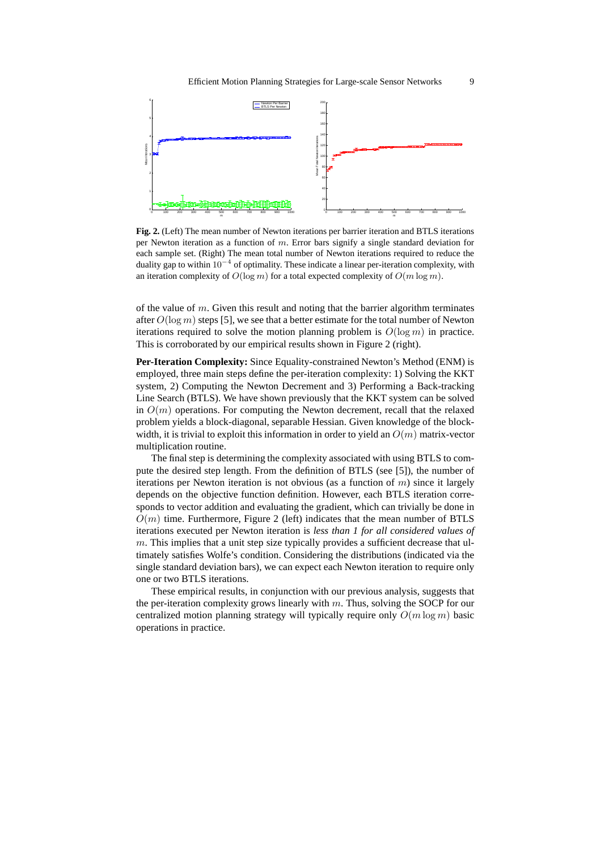

**Fig. 2.** (Left) The mean number of Newton iterations per barrier iteration and BTLS iterations per Newton iteration as a function of m. Error bars signify a single standard deviation for each sample set. (Right) The mean total number of Newton iterations required to reduce the duality gap to within 10<sup>−</sup><sup>4</sup> of optimality. These indicate a linear per-iteration complexity, with an iteration complexity of  $O(\log m)$  for a total expected complexity of  $O(m \log m)$ .

of the value of  $m$ . Given this result and noting that the barrier algorithm terminates after  $O(\log m)$  steps [5], we see that a better estimate for the total number of Newton iterations required to solve the motion planning problem is  $O(\log m)$  in practice. This is corroborated by our empirical results shown in Figure 2 (right).

**Per-Iteration Complexity:** Since Equality-constrained Newton's Method (ENM) is employed, three main steps define the per-iteration complexity: 1) Solving the KKT system, 2) Computing the Newton Decrement and 3) Performing a Back-tracking Line Search (BTLS). We have shown previously that the KKT system can be solved in  $O(m)$  operations. For computing the Newton decrement, recall that the relaxed problem yields a block-diagonal, separable Hessian. Given knowledge of the blockwidth, it is trivial to exploit this information in order to yield an  $O(m)$  matrix-vector multiplication routine.

The final step is determining the complexity associated with using BTLS to compute the desired step length. From the definition of BTLS (see [5]), the number of iterations per Newton iteration is not obvious (as a function of  $m$ ) since it largely depends on the objective function definition. However, each BTLS iteration corresponds to vector addition and evaluating the gradient, which can trivially be done in  $O(m)$  time. Furthermore, Figure 2 (left) indicates that the mean number of BTLS iterations executed per Newton iteration is *less than 1 for all considered values of*  $m$ . This implies that a unit step size typically provides a sufficient decrease that ultimately satisfies Wolfe's condition. Considering the distributions (indicated via the single standard deviation bars), we can expect each Newton iteration to require only one or two BTLS iterations.

These empirical results, in conjunction with our previous analysis, suggests that the per-iteration complexity grows linearly with  $m$ . Thus, solving the SOCP for our centralized motion planning strategy will typically require only  $O(m \log m)$  basic operations in practice.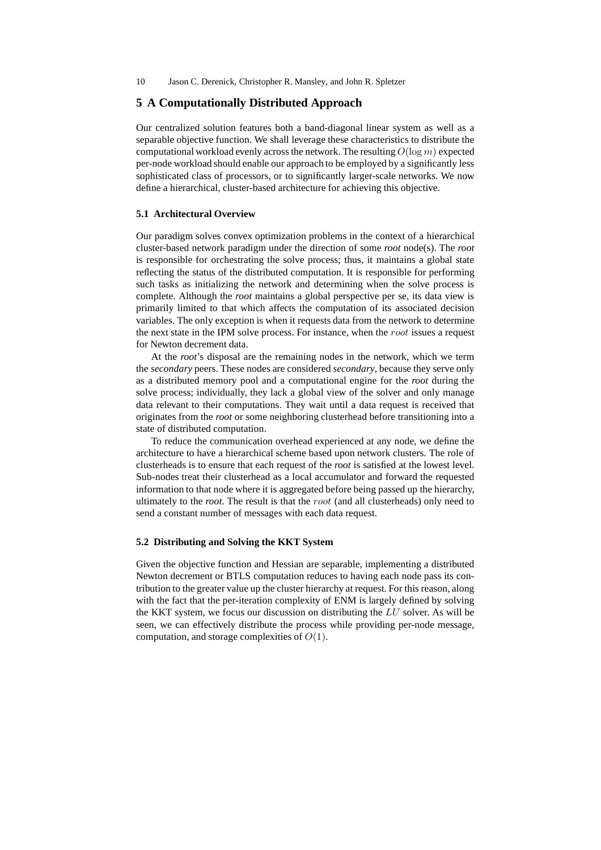# **5 A Computationally Distributed Approach**

Our centralized solution features both a band-diagonal linear system as well as a separable objective function. We shall leverage these characteristics to distribute the computational workload evenly across the network. The resulting  $O(\log m)$  expected per-node workload should enable our approach to be employed by a significantly less sophisticated class of processors, or to significantly larger-scale networks. We now define a hierarchical, cluster-based architecture for achieving this objective.

## **5.1 Architectural Overview**

Our paradigm solves convex optimization problems in the context of a hierarchical cluster-based network paradigm under the direction of some *root* node(s). The *root* is responsible for orchestrating the solve process; thus, it maintains a global state reflecting the status of the distributed computation. It is responsible for performing such tasks as initializing the network and determining when the solve process is complete. Although the *root* maintains a global perspective per se, its data view is primarily limited to that which affects the computation of its associated decision variables. The only exception is when it requests data from the network to determine the next state in the IPM solve process. For instance, when the root issues a request for Newton decrement data.

At the *root*'s disposal are the remaining nodes in the network, which we term the *secondary* peers. These nodes are considered *secondary*, because they serve only as a distributed memory pool and a computational engine for the *root* during the solve process; individually, they lack a global view of the solver and only manage data relevant to their computations. They wait until a data request is received that originates from the *root* or some neighboring clusterhead before transitioning into a state of distributed computation.

To reduce the communication overhead experienced at any node, we define the architecture to have a hierarchical scheme based upon network clusters. The role of clusterheads is to ensure that each request of the *root* is satisfied at the lowest level. Sub-nodes treat their clusterhead as a local accumulator and forward the requested information to that node where it is aggregated before being passed up the hierarchy, ultimately to the *root*. The result is that the root (and all clusterheads) only need to send a constant number of messages with each data request.

### **5.2 Distributing and Solving the KKT System**

Given the objective function and Hessian are separable, implementing a distributed Newton decrement or BTLS computation reduces to having each node pass its contribution to the greater value up the cluster hierarchy at request. For this reason, along with the fact that the per-iteration complexity of ENM is largely defined by solving the KKT system, we focus our discussion on distributing the  $LU$  solver. As will be seen, we can effectively distribute the process while providing per-node message, computation, and storage complexities of  $O(1)$ .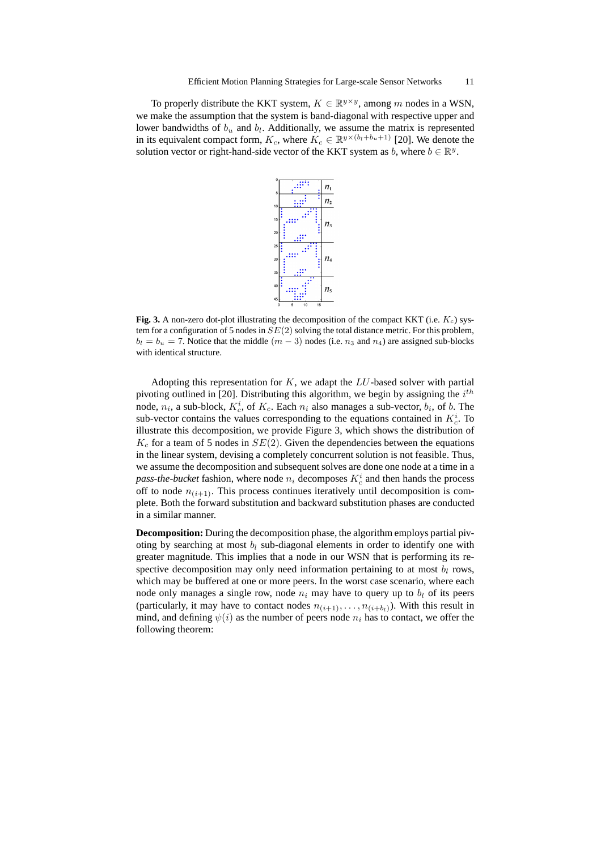To properly distribute the KKT system,  $K \in \mathbb{R}^{y \times y}$ , among m nodes in a WSN, we make the assumption that the system is band-diagonal with respective upper and lower bandwidths of  $b_u$  and  $b_l$ . Additionally, we assume the matrix is represented in its equivalent compact form,  $K_c$ , where  $K_c \in \mathbb{R}^{y \times (b_l + b_u + 1)}$  [20]. We denote the solution vector or right-hand-side vector of the KKT system as b, where  $b \in \mathbb{R}^y$ .



**Fig. 3.** A non-zero dot-plot illustrating the decomposition of the compact KKT (i.e.  $K_c$ ) system for a configuration of 5 nodes in  $SE(2)$  solving the total distance metric. For this problem,  $b_l = b_u = 7$ . Notice that the middle  $(m - 3)$  nodes (i.e.  $n_3$  and  $n_4$ ) are assigned sub-blocks with identical structure.

Adopting this representation for  $K$ , we adapt the  $LU$ -based solver with partial pivoting outlined in [20]. Distributing this algorithm, we begin by assigning the  $i^{th}$ node,  $n_i$ , a sub-block,  $K_c^i$ , of  $K_c$ . Each  $n_i$  also manages a sub-vector,  $b_i$ , of b. The sub-vector contains the values corresponding to the equations contained in  $K_c^i$ . To illustrate this decomposition, we provide Figure 3, which shows the distribution of  $K_c$  for a team of 5 nodes in  $SE(2)$ . Given the dependencies between the equations in the linear system, devising a completely concurrent solution is not feasible. Thus, we assume the decomposition and subsequent solves are done one node at a time in a  $pass\text{-}the\text{-}bucket$  fashion, where node  $n_i$  decomposes  $K_c^i$  and then hands the process off to node  $n_{(i+1)}$ . This process continues iteratively until decomposition is complete. Both the forward substitution and backward substitution phases are conducted in a similar manner.

**Decomposition:** During the decomposition phase, the algorithm employs partial pivoting by searching at most  $b_l$  sub-diagonal elements in order to identify one with greater magnitude. This implies that a node in our WSN that is performing its respective decomposition may only need information pertaining to at most  $b_l$  rows, which may be buffered at one or more peers. In the worst case scenario, where each node only manages a single row, node  $n_i$  may have to query up to  $b_l$  of its peers (particularly, it may have to contact nodes  $n_{(i+1)}, \ldots, n_{(i+b_l)}$ ). With this result in mind, and defining  $\psi(i)$  as the number of peers node  $n_i$  has to contact, we offer the following theorem: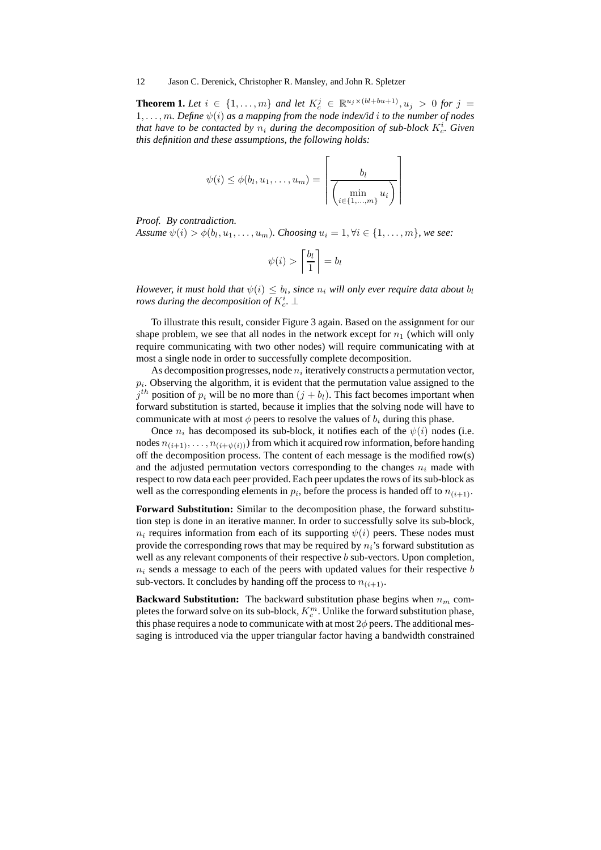**Theorem 1.** Let  $i \in \{1, ..., m\}$  and let  $K_c^j \in \mathbb{R}^{u_j \times (bl+bu+1)}, u_j > 0$  for  $j =$  $1, \ldots, m$ *. Define*  $\psi(i)$  *as a mapping from the node index/id i to the number of nodes* that have to be contacted by  $n_i$  during the decomposition of sub-block  $K_c^i$ . Given *this definition and these assumptions, the following holds:*

$$
\psi(i) \leq \phi(b_l, u_1, \dots, u_m) = \left\lceil \frac{b_l}{\left(\min_{i \in \{1, \dots, m\}} u_i\right)} \right\rceil
$$

*Proof. By contradiction.*

*Assume*  $\psi(i) > \phi(b_l, u_1, \ldots, u_m)$ . *Choosing*  $u_i = 1, \forall i \in \{1, \ldots, m\}$ , we see:

$$
\psi(i) > \left\lceil \frac{b_l}{1} \right\rceil = b_l
$$

*However, it must hold that*  $\psi(i) \leq b_l$ , since  $n_i$  will only ever require data about  $b_l$ rows during the decomposition of  $K_c^i$ .  $\bot$ 

To illustrate this result, consider Figure 3 again. Based on the assignment for our shape problem, we see that all nodes in the network except for  $n_1$  (which will only require communicating with two other nodes) will require communicating with at most a single node in order to successfully complete decomposition.

As decomposition progresses, node  $n_i$  iteratively constructs a permutation vector,  $p_i$ . Observing the algorithm, it is evident that the permutation value assigned to the  $j<sup>th</sup>$  position of  $p_i$  will be no more than  $(j + b_l)$ . This fact becomes important when forward substitution is started, because it implies that the solving node will have to communicate with at most  $\phi$  peers to resolve the values of  $b_i$  during this phase.

Once  $n_i$  has decomposed its sub-block, it notifies each of the  $\psi(i)$  nodes (i.e. nodes  $n_{(i+1)}, \ldots, n_{(i+\psi(i))}$  from which it acquired row information, before handing off the decomposition process. The content of each message is the modified row(s) and the adjusted permutation vectors corresponding to the changes  $n_i$  made with respect to row data each peer provided. Each peer updates the rows of its sub-block as well as the corresponding elements in  $p_i$ , before the process is handed off to  $n_{(i+1)}$ .

**Forward Substitution:** Similar to the decomposition phase, the forward substitution step is done in an iterative manner. In order to successfully solve its sub-block,  $n_i$  requires information from each of its supporting  $\psi(i)$  peers. These nodes must provide the corresponding rows that may be required by  $n_i$ 's forward substitution as well as any relevant components of their respective b sub-vectors. Upon completion,  $n_i$  sends a message to each of the peers with updated values for their respective b sub-vectors. It concludes by handing off the process to  $n_{(i+1)}$ .

**Backward Substitution:** The backward substitution phase begins when  $n_m$  completes the forward solve on its sub-block,  $K_c^m$ . Unlike the forward substitution phase, this phase requires a node to communicate with at most  $2\phi$  peers. The additional messaging is introduced via the upper triangular factor having a bandwidth constrained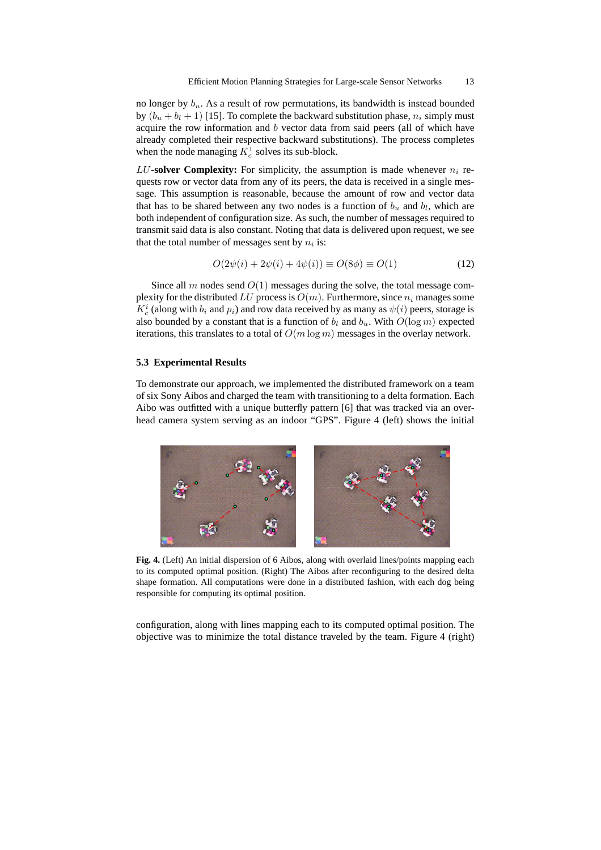no longer by  $b_u$ . As a result of row permutations, its bandwidth is instead bounded by  $(b_u + b_l + 1)$  [15]. To complete the backward substitution phase,  $n_i$  simply must acquire the row information and  $b$  vector data from said peers (all of which have already completed their respective backward substitutions). The process completes when the node managing  $K_c^1$  solves its sub-block.

LU-solver Complexity: For simplicity, the assumption is made whenever  $n_i$  requests row or vector data from any of its peers, the data is received in a single message. This assumption is reasonable, because the amount of row and vector data that has to be shared between any two nodes is a function of  $b_u$  and  $b_l$ , which are both independent of configuration size. As such, the number of messages required to transmit said data is also constant. Noting that data is delivered upon request, we see that the total number of messages sent by  $n_i$  is:

$$
O(2\psi(i) + 2\psi(i) + 4\psi(i)) \equiv O(8\phi) \equiv O(1)
$$
 (12)

Since all m nodes send  $O(1)$  messages during the solve, the total message complexity for the distributed LU process is  $O(m)$ . Furthermore, since  $n_i$  manages some  $K_c^i$  (along with  $b_i$  and  $p_i$ ) and row data received by as many as  $\psi(i)$  peers, storage is also bounded by a constant that is a function of  $b_l$  and  $b_u$ . With  $O(\log m)$  expected iterations, this translates to a total of  $O(m \log m)$  messages in the overlay network.

#### **5.3 Experimental Results**

To demonstrate our approach, we implemented the distributed framework on a team of six Sony Aibos and charged the team with transitioning to a delta formation. Each Aibo was outfitted with a unique butterfly pattern [6] that was tracked via an overhead camera system serving as an indoor "GPS". Figure 4 (left) shows the initial



**Fig. 4.** (Left) An initial dispersion of 6 Aibos, along with overlaid lines/points mapping each to its computed optimal position. (Right) The Aibos after reconfiguring to the desired delta shape formation. All computations were done in a distributed fashion, with each dog being responsible for computing its optimal position.

configuration, along with lines mapping each to its computed optimal position. The objective was to minimize the total distance traveled by the team. Figure 4 (right)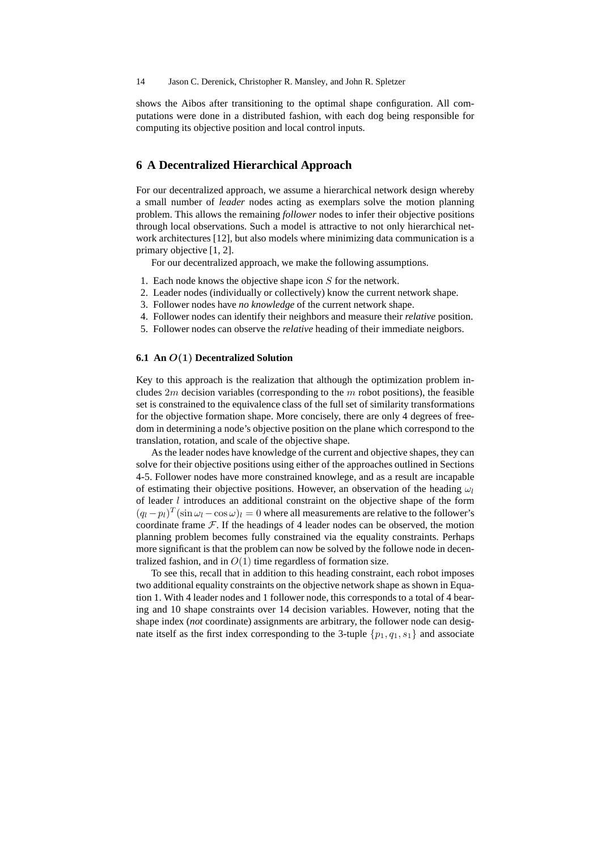shows the Aibos after transitioning to the optimal shape configuration. All computations were done in a distributed fashion, with each dog being responsible for computing its objective position and local control inputs.

## **6 A Decentralized Hierarchical Approach**

For our decentralized approach, we assume a hierarchical network design whereby a small number of *leader* nodes acting as exemplars solve the motion planning problem. This allows the remaining *follower* nodes to infer their objective positions through local observations. Such a model is attractive to not only hierarchical network architectures [12], but also models where minimizing data communication is a primary objective [1, 2].

For our decentralized approach, we make the following assumptions.

- 1. Each node knows the objective shape icon S for the network.
- 2. Leader nodes (individually or collectively) know the current network shape.
- 3. Follower nodes have *no knowledge* of the current network shape.
- 4. Follower nodes can identify their neighbors and measure their *relative* position.
- 5. Follower nodes can observe the *relative* heading of their immediate neigbors.

## **6.1 An** O(1) **Decentralized Solution**

Key to this approach is the realization that although the optimization problem includes  $2m$  decision variables (corresponding to the  $m$  robot positions), the feasible set is constrained to the equivalence class of the full set of similarity transformations for the objective formation shape. More concisely, there are only 4 degrees of freedom in determining a node's objective position on the plane which correspond to the translation, rotation, and scale of the objective shape.

As the leader nodes have knowledge of the current and objective shapes, they can solve for their objective positions using either of the approaches outlined in Sections 4-5. Follower nodes have more constrained knowlege, and as a result are incapable of estimating their objective positions. However, an observation of the heading  $\omega_l$ of leader  $l$  introduces an additional constraint on the objective shape of the form  $(q_l - p_l)^T (\sin \omega_l - \cos \omega)_l = 0$  where all measurements are relative to the follower's coordinate frame  $F$ . If the headings of 4 leader nodes can be observed, the motion planning problem becomes fully constrained via the equality constraints. Perhaps more significant is that the problem can now be solved by the followe node in decentralized fashion, and in  $O(1)$  time regardless of formation size.

To see this, recall that in addition to this heading constraint, each robot imposes two additional equality constraints on the objective network shape as shown in Equation 1. With 4 leader nodes and 1 follower node, this corresponds to a total of 4 bearing and 10 shape constraints over 14 decision variables. However, noting that the shape index (*not* coordinate) assignments are arbitrary, the follower node can designate itself as the first index corresponding to the 3-tuple  $\{p_1, q_1, s_1\}$  and associate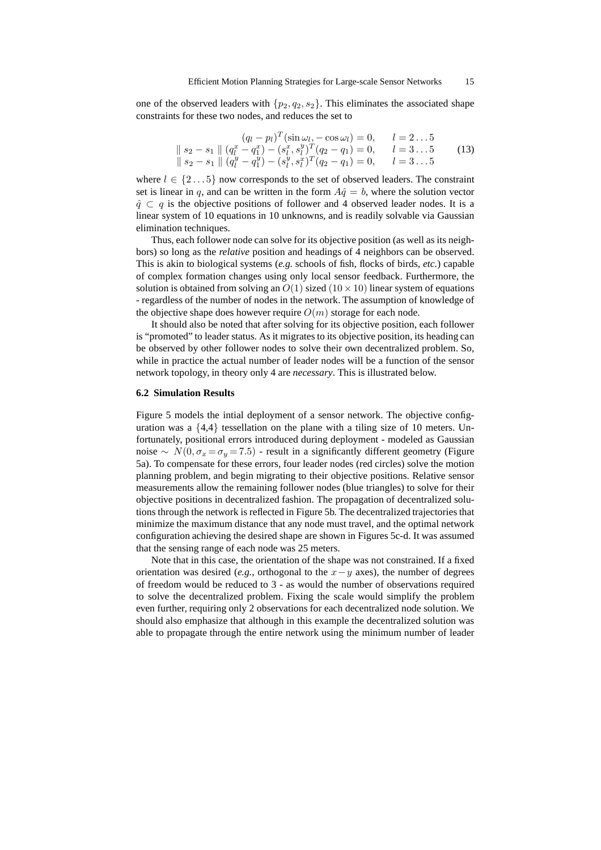one of the observed leaders with  $\{p_2, q_2, s_2\}$ . This eliminates the associated shape constraints for these two nodes, and reduces the set to

$$
(q_l - p_l)^T (\sin \omega_l, -\cos \omega_l) = 0, \qquad l = 2...5
$$
  
\n
$$
\| s_2 - s_1 \| (q_l^x - q_1^x) - (s_l^x, s_l^y)^T (q_2 - q_1) = 0, \qquad l = 3...5
$$
  
\n
$$
\| s_2 - s_1 \| (q_l^y - q_1^y) - (s_l^y, s_l^x)^T (q_2 - q_1) = 0, \qquad l = 3...5
$$
  
\n(13)

where  $l \in \{2...5\}$  now corresponds to the set of observed leaders. The constraint set is linear in q, and can be written in the form  $A\hat{q} = b$ , where the solution vector  $\hat{q} \subset q$  is the objective positions of follower and 4 observed leader nodes. It is a linear system of 10 equations in 10 unknowns, and is readily solvable via Gaussian elimination techniques.

Thus, each follower node can solve for its objective position (as well as its neighbors) so long as the *relative* position and headings of 4 neighbors can be observed. This is akin to biological systems (*e.g.* schools of fish, flocks of birds, *etc.*) capable of complex formation changes using only local sensor feedback. Furthermore, the solution is obtained from solving an  $O(1)$  sized  $(10 \times 10)$  linear system of equations - regardless of the number of nodes in the network. The assumption of knowledge of the objective shape does however require  $O(m)$  storage for each node.

It should also be noted that after solving for its objective position, each follower is "promoted" to leader status. As it migrates to its objective position, its heading can be observed by other follower nodes to solve their own decentralized problem. So, while in practice the actual number of leader nodes will be a function of the sensor network topology, in theory only 4 are *necessary*. This is illustrated below.

## **6.2 Simulation Results**

Figure 5 models the intial deployment of a sensor network. The objective configuration was a  $\{4,4\}$  tessellation on the plane with a tiling size of 10 meters. Unfortunately, positional errors introduced during deployment - modeled as Gaussian noise ∼  $N(0, \sigma_x = \sigma_y = 7.5)$  - result in a significantly different geometry (Figure 5a). To compensate for these errors, four leader nodes (red circles) solve the motion planning problem, and begin migrating to their objective positions. Relative sensor measurements allow the remaining follower nodes (blue triangles) to solve for their objective positions in decentralized fashion. The propagation of decentralized solutions through the network is reflected in Figure 5b. The decentralized trajectories that minimize the maximum distance that any node must travel, and the optimal network configuration achieving the desired shape are shown in Figures 5c-d. It was assumed that the sensing range of each node was 25 meters.

Note that in this case, the orientation of the shape was not constrained. If a fixed orientation was desired (*e.g.*, orthogonal to the  $x-y$  axes), the number of degrees of freedom would be reduced to 3 - as would the number of observations required to solve the decentralized problem. Fixing the scale would simplify the problem even further, requiring only 2 observations for each decentralized node solution. We should also emphasize that although in this example the decentralized solution was able to propagate through the entire network using the minimum number of leader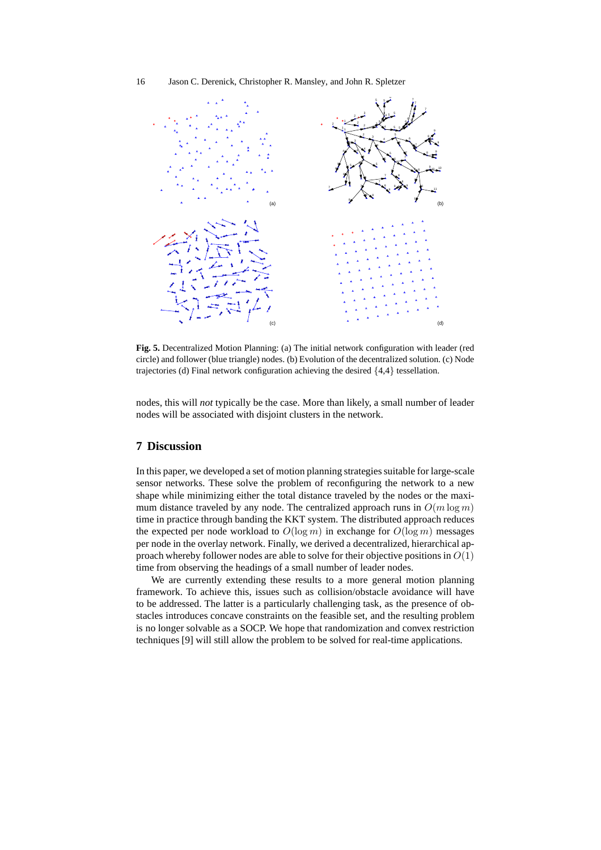

**Fig. 5.** Decentralized Motion Planning: (a) The initial network configuration with leader (red circle) and follower (blue triangle) nodes. (b) Evolution of the decentralized solution. (c) Node trajectories (d) Final network configuration achieving the desired {4,4} tessellation.

nodes, this will *not* typically be the case. More than likely, a small number of leader nodes will be associated with disjoint clusters in the network.

# **7 Discussion**

In this paper, we developed a set of motion planning strategies suitable for large-scale sensor networks. These solve the problem of reconfiguring the network to a new shape while minimizing either the total distance traveled by the nodes or the maximum distance traveled by any node. The centralized approach runs in  $O(m \log m)$ time in practice through banding the KKT system. The distributed approach reduces the expected per node workload to  $O(\log m)$  in exchange for  $O(\log m)$  messages per node in the overlay network. Finally, we derived a decentralized, hierarchical approach whereby follower nodes are able to solve for their objective positions in  $O(1)$ time from observing the headings of a small number of leader nodes.

We are currently extending these results to a more general motion planning framework. To achieve this, issues such as collision/obstacle avoidance will have to be addressed. The latter is a particularly challenging task, as the presence of obstacles introduces concave constraints on the feasible set, and the resulting problem is no longer solvable as a SOCP. We hope that randomization and convex restriction techniques [9] will still allow the problem to be solved for real-time applications.